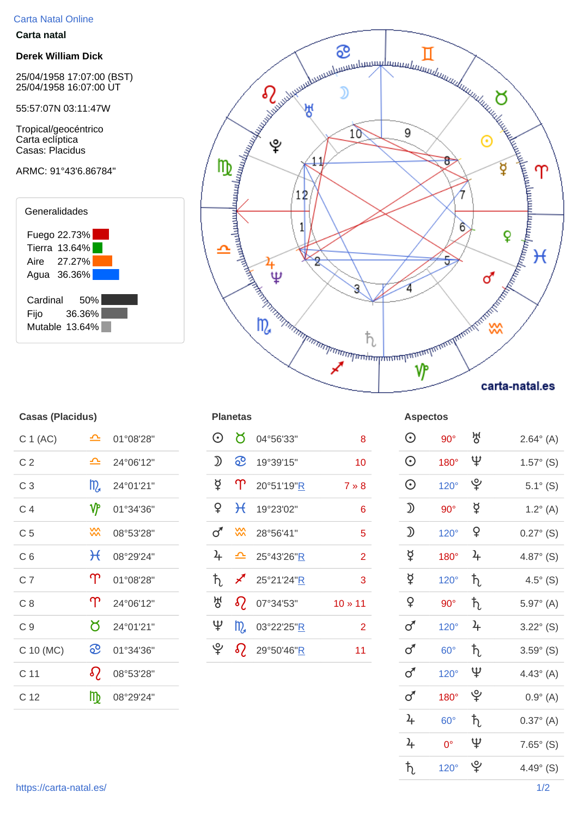## Carta Natal Online

## **Carta natal**

## **Derek William Dick**

25/04/1958 17:07:00 (BST) 25/04/1958 16:07:00 UT

55:57:07N 03:11:47W

Tropical/geocéntrico Carta eclíptica Casas: Placidus

## ARMC: 91°43'6.86784"





| <b>Casas (Placidus)</b> |  |
|-------------------------|--|
|                         |  |

| C 1 (AC)        | ≏            | 01°08'28" |
|-----------------|--------------|-----------|
| C <sub>2</sub>  | ≏            | 24°06'12" |
| C 3             | m            | 24°01'21" |
| C 4             | ₩            | 01°34'36" |
| C 5             | ⋙            | 08°53'28" |
| C 6             | $\mathcal H$ | 08°29'24" |
| C 7             | ႃ            | 01°08'28" |
| C 8             | ႃ            | 24°06'12" |
| C9              | Ծ            | 24°01'21" |
| C 10 (MC)       | ၹ            | 01°34'36" |
| C <sub>11</sub> | $\Omega$     | 08°53'28" |
| C 12            | ₥            | 08°29'24" |

| C 1 (AC)       | ᅀ               | 01°08'28" | $\odot$                                                                                                 | $\sigma$ | 04°56'33"                 | 8               | $\odot$                                                                                                 | $90^\circ$  | 생             | $2.64^{\circ}$ (A)  |
|----------------|-----------------|-----------|---------------------------------------------------------------------------------------------------------|----------|---------------------------|-----------------|---------------------------------------------------------------------------------------------------------|-------------|---------------|---------------------|
| C <sub>2</sub> | ᅀ               | 24°06'12" | $\mathfrak{D}% _{T}=\mathfrak{D}_{T}\!\left( a,b\right) ,\ \mathfrak{D}_{T}=C_{T}\!\left( a,b\right) ,$ | <u>ေ</u> | 19°39'15"                 | 10 <sup>°</sup> | $\odot$                                                                                                 | 180°        | Ψ             | $1.57^{\circ}$ (S)  |
| C <sub>3</sub> | $m_a$           | 24°01'21" | ₫                                                                                                       |          | $\mathsf{T}$ 20°51'19"R   | $7 * 8$         | $\odot$                                                                                                 | $120^\circ$ | ೪             | $5.1^{\circ}$ (S)   |
| C <sub>4</sub> | ۷۴              | 01°34'36" | $\mathsf{P}$                                                                                            |          | $H$ 19°23'02"             | $6\phantom{1}$  | $\mathfrak{D}% _{T}=\mathfrak{D}_{T}\!\left( a,b\right) ,\ \mathfrak{D}_{T}=C_{T}\!\left( a,b\right) ,$ | $90^\circ$  | ₫             | $1.2^{\circ}$ (A)   |
| C <sub>5</sub> | $\frac{20}{20}$ | 08°53'28" | ♂                                                                                                       |          | W 28°56'41"               | 5               | $\mathfrak{D}% _{T}=\mathfrak{D}_{T}\!\left( a,b\right) ,\ \mathfrak{D}_{T}=C_{T}\!\left( a,b\right) ,$ | $120^\circ$ | $\mathsf{P}$  | $0.27^{\circ}$ (S)  |
| C <sub>6</sub> | $\mathcal{H}$   | 08°29'24" | $\frac{1}{2}$                                                                                           |          | $\triangle$ 25°43'26"R    | $\overline{2}$  | $\breve{\vec{r}}$                                                                                       | $180^\circ$ | $\frac{1}{2}$ | 4.87 $^{\circ}$ (S) |
| C <sub>7</sub> | $\Upsilon$      | 01°08'28" | ħ.                                                                                                      | $\chi$   | 25°21'24" <u>R</u>        | 3               | $\beta$                                                                                                 | $120^\circ$ | $\hbar$       | $4.5^\circ$ (S)     |
| C8             | $\Upsilon$      | 24°06'12" | 성                                                                                                       |          | $\Omega$ 07°34'53"        | $10 * 11$       | $\mathsf{P}$                                                                                            | $90^\circ$  | $\hbar$       | $5.97^{\circ}$ (A)  |
| C <sub>9</sub> | ୪.              | 24°01'21" | Ψ                                                                                                       |          | $\frac{1}{2}$ 03°22'25" R | $\overline{2}$  | $\sigma$                                                                                                | $120^\circ$ | $\frac{1}{2}$ | $3.22^{\circ}$ (S)  |
| C 10 (MC)      | <u>ေ</u>        | 01°34'36" | ೪                                                                                                       |          | $\delta$ 29°50'46"R       | 11              | $\sigma$                                                                                                | $60^\circ$  | $\hbar$       | $3.59^{\circ}$ (S)  |
|                |                 |           |                                                                                                         |          |                           |                 |                                                                                                         |             |               |                     |

| ≏                  | 01°08'28" | $\odot$        | ୪               | 04°56'33"  | $\bf 8$        | $\odot$           | $90^\circ$  | 성              | $2.64^{\circ}$ (A) |
|--------------------|-----------|----------------|-----------------|------------|----------------|-------------------|-------------|----------------|--------------------|
| 스                  | 24°06'12" | $\mathfrak{D}$ | <u>ေ</u>        | 19°39'15"  | 10             | $\odot$           | 180°        | $\mathfrak{P}$ | $1.57^{\circ}$ (S) |
| m                  | 24°01'21" | $\beta$        | $\mathbf{T}$    | 20°51'19"R | $7 * 8$        | $\odot$           | $120^\circ$ | ပ္န            | $5.1^{\circ}$ (S)  |
| $\mathbf{\hat{y}}$ | 01°34'36" | $\mathsf{P}$   | $\mathcal{H}$   | 19°23'02"  | $\bf 6$        | $\mathfrak D$     | $90^\circ$  | $\beta$        | $1.2^{\circ}$ (A)  |
| 3X                 | 08°53'28" | $\sigma$       | $\frac{20}{20}$ | 28°56'41"  | $\overline{5}$ | $\mathfrak D$     | $120^\circ$ | $\mathsf{P}$   | $0.27^{\circ}$ (S) |
| $\mathcal{H}$      | 08°29'24" | $\frac{1}{4}$  | $\mathbf{r}$    | 25°43'26"R | $\overline{2}$ | $\breve{\varphi}$ | $180^\circ$ | $\frac{1}{2}$  | $4.87^{\circ}$ (S) |
| $\Upsilon$         | 01°08'28" | $\hbar$        | ∕               | 25°21'24"R | $\mathbf{3}$   | ₫                 | $120^\circ$ | $\hbar$        | $4.5^{\circ}$ (S)  |
| $\Upsilon$         | 24°06'12" | 생              | $\Omega$        | 07°34'53"  | $10 * 11$      | $\mathsf{P}$      | $90^\circ$  | $\hbar$        | $5.97^{\circ}$ (A) |
| ŏ                  | 24°01'21" | $\mathfrak{P}$ | m               | 03°22'25"R | $\overline{2}$ | $\sigma$          | $120^\circ$ | $\frac{1}{4}$  | $3.22^{\circ}$ (S) |
| <u>ေ</u>           | 01°34'36" |                |                 | 29°50'46"R | 11             | $\sigma$          | $60^\circ$  | $\hbar$        | $3.59^{\circ}$ (S) |
| $\Omega$           | 08°53'28" |                |                 |            |                | $\sigma$          | $120^\circ$ | Ψ              | $4.43^{\circ}$ (A) |
| m                  | 08°29'24" |                |                 |            |                | $\sigma$          | 180°        | ပ္             | $0.9^{\circ}$ (A)  |
|                    |           |                |                 |            |                | $\frac{2}{\pi}$   | $60^\circ$  | $\hbar$        | $0.37^{\circ}$ (A) |
|                    |           |                |                 |            |                | $\frac{1}{2}$     | $0^{\circ}$ | $\Psi$         | $7.65^{\circ}$ (S) |
|                    |           |                |                 |            |                | $\hbar$           | $120^\circ$ | ୄୢ୰            | $4.49^{\circ}$ (S) |
|                    |           |                |                 |            | $\Omega$       |                   |             |                |                    |